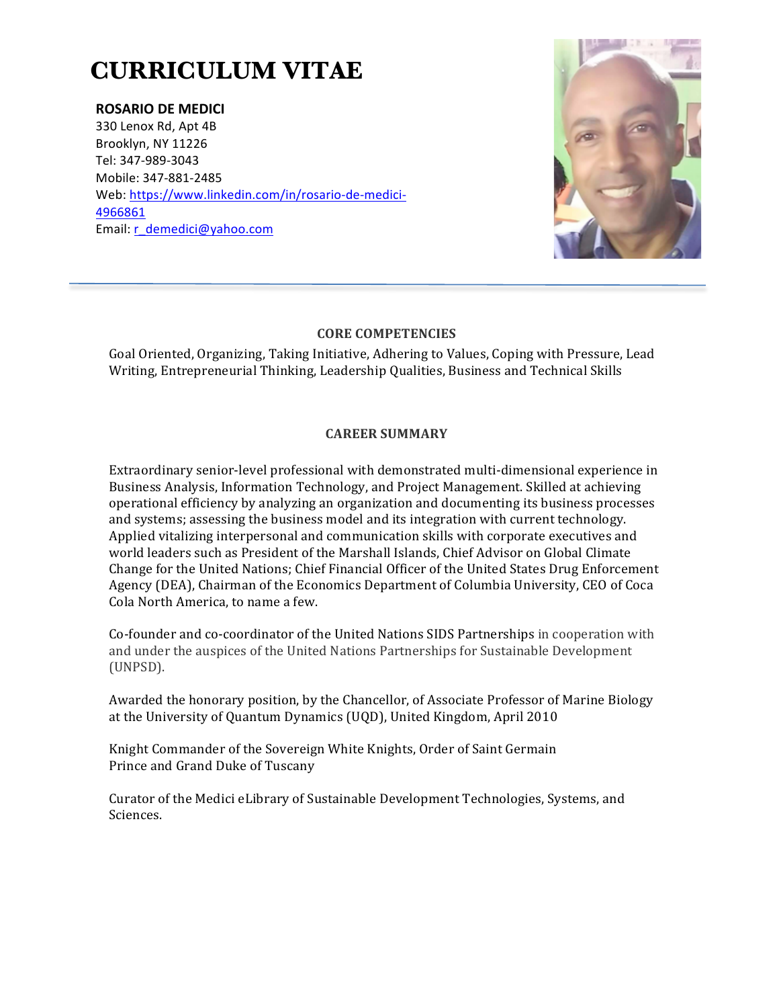# **CURRICULUM VITAE**

## **ROSARIO DE MEDICI**

330 Lenox Rd, Apt 4B Brooklyn, NY 11226 Tel: 347-989-3043 Mobile: 347-881-2485 Web: https://www.linkedin.com/in/rosario-de-medici-4966861 Email: r\_demedici@yahoo.com



## **CORE COMPETENCIES**

Goal Oriented, Organizing, Taking Initiative, Adhering to Values, Coping with Pressure, Lead Writing, Entrepreneurial Thinking, Leadership Qualities, Business and Technical Skills

## **CAREER SUMMARY**

Extraordinary senior-level professional with demonstrated multi-dimensional experience in Business Analysis, Information Technology, and Project Management. Skilled at achieving operational efficiency by analyzing an organization and documenting its business processes and systems; assessing the business model and its integration with current technology. Applied vitalizing interpersonal and communication skills with corporate executives and world leaders such as President of the Marshall Islands, Chief Advisor on Global Climate Change for the United Nations; Chief Financial Officer of the United States Drug Enforcement Agency (DEA), Chairman of the Economics Department of Columbia University, CEO of Coca Cola North America, to name a few.

Co-founder and co-coordinator of the United Nations SIDS Partnerships in cooperation with and under the auspices of the United Nations Partnerships for Sustainable Development (UNPSD).

Awarded the honorary position, by the Chancellor, of Associate Professor of Marine Biology at the University of Quantum Dynamics (UQD), United Kingdom, April 2010

Knight Commander of the Sovereign White Knights, Order of Saint Germain Prince and Grand Duke of Tuscany

Curator of the Medici eLibrary of Sustainable Development Technologies, Systems, and Sciences.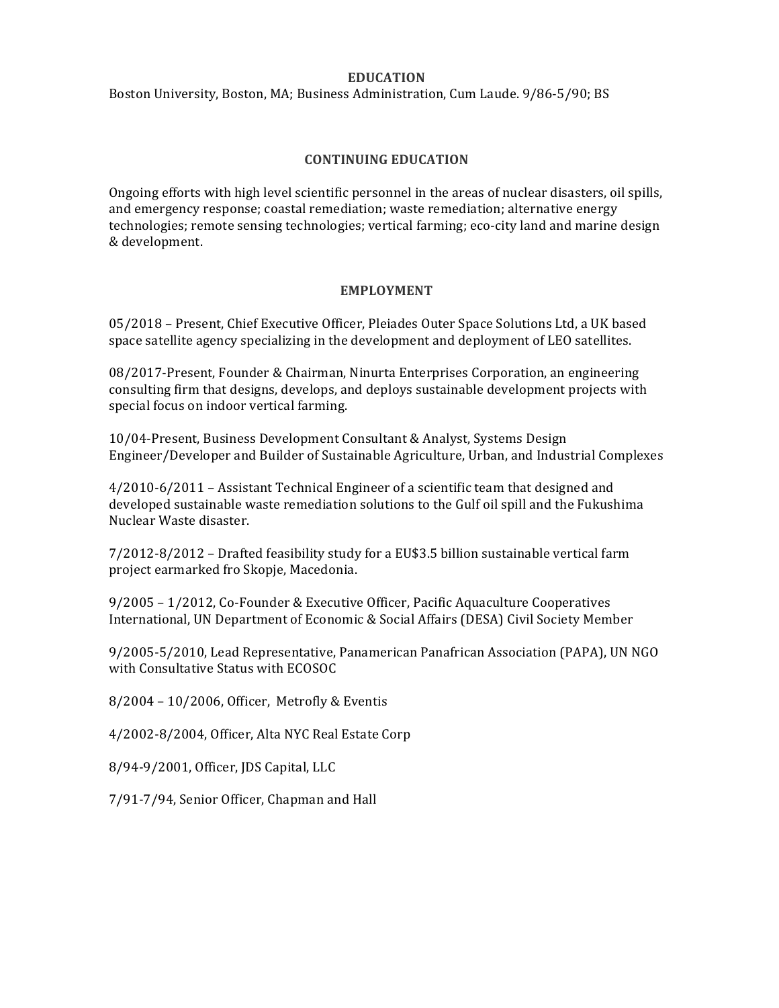#### **EDUCATION**

Boston University, Boston, MA; Business Administration, Cum Laude. 9/86-5/90; BS

#### **CONTINUING EDUCATION**

Ongoing efforts with high level scientific personnel in the areas of nuclear disasters, oil spills, and emergency response; coastal remediation; waste remediation; alternative energy technologies; remote sensing technologies; vertical farming; eco-city land and marine design & development.

#### **EMPLOYMENT**

05/2018 - Present, Chief Executive Officer, Pleiades Outer Space Solutions Ltd, a UK based space satellite agency specializing in the development and deployment of LEO satellites.

08/2017-Present, Founder & Chairman, Ninurta Enterprises Corporation, an engineering consulting firm that designs, develops, and deploys sustainable development projects with special focus on indoor vertical farming.

10/04-Present, Business Development Consultant & Analyst, Systems Design Engineer/Developer and Builder of Sustainable Agriculture, Urban, and Industrial Complexes

 $4/2010-6/2011$  – Assistant Technical Engineer of a scientific team that designed and developed sustainable waste remediation solutions to the Gulf oil spill and the Fukushima Nuclear Waste disaster.

 $7/2012-8/2012$  – Drafted feasibility study for a EU\$3.5 billion sustainable vertical farm project earmarked fro Skopje, Macedonia.

9/2005 - 1/2012, Co-Founder & Executive Officer, Pacific Aquaculture Cooperatives International, UN Department of Economic & Social Affairs (DESA) Civil Society Member

9/2005-5/2010, Lead Representative, Panamerican Panafrican Association (PAPA), UN NGO with Consultative Status with ECOSOC

 $8/2004 - 10/2006$ , Officer, Metrofly & Eventis

4/2002-8/2004, Officer, Alta NYC Real Estate Corp

8/94-9/2001, Officer, JDS Capital, LLC

7/91-7/94, Senior Officer, Chapman and Hall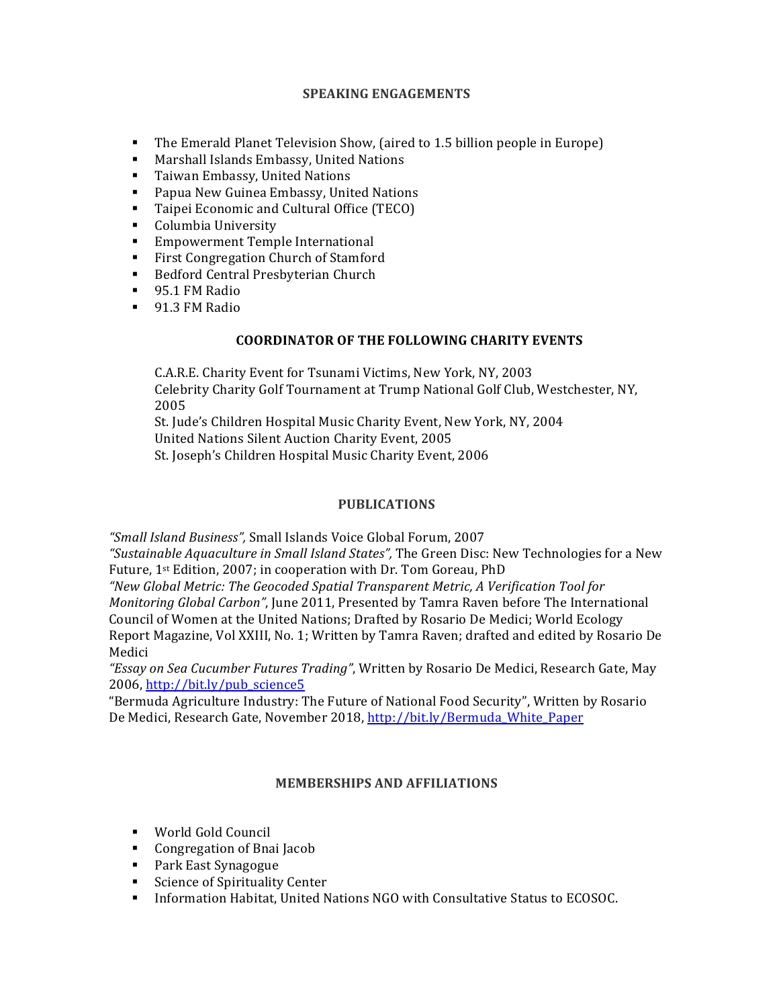## **SPEAKING ENGAGEMENTS**

- **.** The Emerald Planet Television Show, (aired to 1.5 billion people in Europe)
- **EXECUTE:** Marshall Islands Embassy, United Nations
- Taiwan Embassy, United Nations
- Papua New Guinea Embassy, United Nations
- **Taipei Economic and Cultural Office (TECO)**
- **E** Columbia University
- **Empowerment Temple International**
- **EXECTE:** First Congregation Church of Stamford
- **EXECUTE:** Bedford Central Presbyterian Church
- 95.1 FM Radio
- $\blacksquare$  91.3 FM Radio

## **COORDINATOR OF THE FOLLOWING CHARITY EVENTS**

C.A.R.E. Charity Event for Tsunami Victims, New York, NY, 2003 Celebrity Charity Golf Tournament at Trump National Golf Club, Westchester, NY, 2005

St. Jude's Children Hospital Music Charity Event, New York, NY, 2004

United Nations Silent Auction Charity Event, 2005 

St. Joseph's Children Hospital Music Charity Event, 2006

# **PUBLICATIONS**

*"Small Island Business",* Small Islands Voice Global Forum, 2007

"Sustainable Aquaculture in Small Island States", The Green Disc: New Technologies for a New Future,  $1^{st}$  Edition, 2007; in cooperation with Dr. Tom Goreau, PhD

*"New Global Metric: The Geocoded Spatial Transparent Metric, A Verification Tool for* 

*Monitoring Global Carbon"*, June 2011, Presented by Tamra Raven before The International

Council of Women at the United Nations; Drafted by Rosario De Medici; World Ecology Report Magazine, Vol XXIII, No. 1; Written by Tamra Raven; drafted and edited by Rosario De Medici

"Essay on Sea Cucumber Futures Trading", Written by Rosario De Medici, Research Gate, May 2006, http://bit.ly/pub\_science5

"Bermuda Agriculture Industry: The Future of National Food Security", Written by Rosario De Medici, Research Gate, November 2018, http://bit.ly/Bermuda\_White\_Paper

## **MEMBERSHIPS AND AFFILIATIONS**

- ! World Gold Council
- **•** Congregation of Bnai Jacob
- Park East Synagogue
- **EXECUTE:** Science of Spirituality Center
- " Information Habitat, United Nations NGO with Consultative Status to ECOSOC.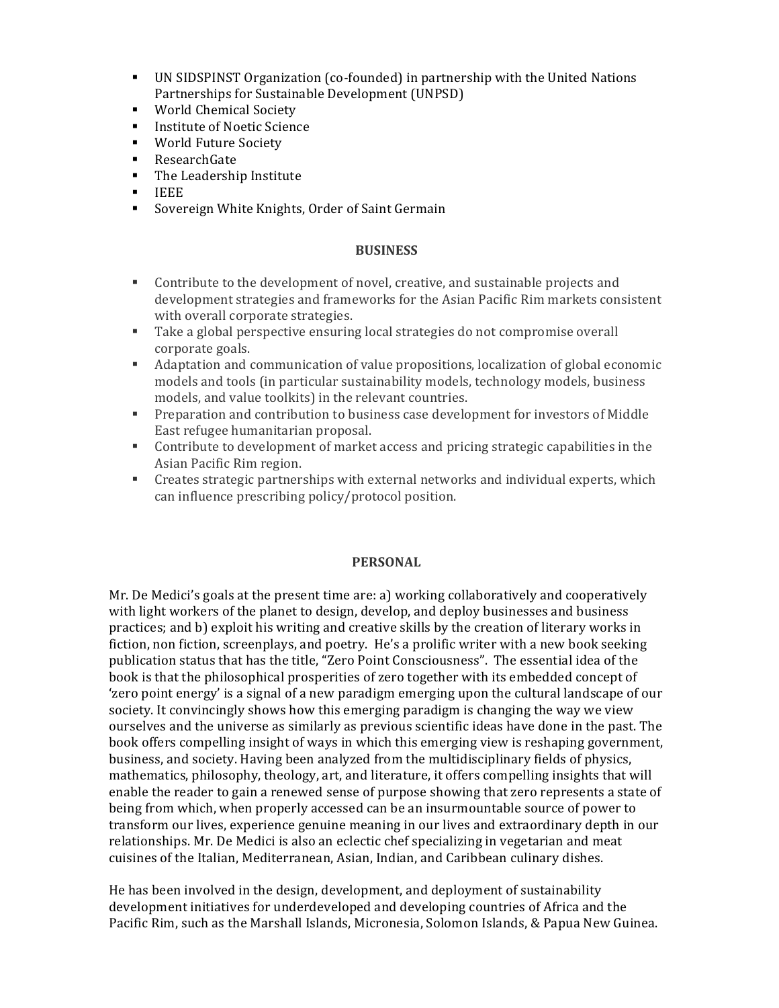- **.** UN SIDSPINST Organization (co-founded) in partnership with the United Nations Partnerships for Sustainable Development (UNPSD)
- World Chemical Society
- **Institute of Noetic Science**
- World Future Society
- ! ResearchGate
- The Leadership Institute
- ! IEEE
- Sovereign White Knights, Order of Saint Germain

#### **BUSINESS**

- " Contribute to the development of novel, creative, and sustainable projects and development strategies and frameworks for the Asian Pacific Rim markets consistent with overall corporate strategies.
- " Take a global perspective ensuring local strategies do not compromise overall corporate goals.
- " Adaptation and communication of value propositions, localization of global economic models and tools (in particular sustainability models, technology models, business models, and value toolkits) in the relevant countries.
- " Preparation and contribution to business case development for investors of Middle East refugee humanitarian proposal.
- **EXECUTE:** Contribute to development of market access and pricing strategic capabilities in the Asian Pacific Rim region.
- " Creates strategic partnerships with external networks and individual experts, which can influence prescribing policy/protocol position.

#### **PERSONAL**

Mr. De Medici's goals at the present time are: a) working collaboratively and cooperatively with light workers of the planet to design, develop, and deploy businesses and business practices; and b) exploit his writing and creative skills by the creation of literary works in fiction, non fiction, screenplays, and poetry. He's a prolific writer with a new book seeking publication status that has the title, "Zero Point Consciousness". The essential idea of the book is that the philosophical prosperities of zero together with its embedded concept of 'zero point energy' is a signal of a new paradigm emerging upon the cultural landscape of our society. It convincingly shows how this emerging paradigm is changing the way we view ourselves and the universe as similarly as previous scientific ideas have done in the past. The book offers compelling insight of ways in which this emerging view is reshaping government, business, and society. Having been analyzed from the multidisciplinary fields of physics, mathematics, philosophy, theology, art, and literature, it offers compelling insights that will enable the reader to gain a renewed sense of purpose showing that zero represents a state of being from which, when properly accessed can be an insurmountable source of power to transform our lives, experience genuine meaning in our lives and extraordinary depth in our relationships. Mr. De Medici is also an eclectic chef specializing in vegetarian and meat cuisines of the Italian, Mediterranean, Asian, Indian, and Caribbean culinary dishes.

He has been involved in the design, development, and deployment of sustainability development initiatives for underdeveloped and developing countries of Africa and the Pacific Rim, such as the Marshall Islands, Micronesia, Solomon Islands, & Papua New Guinea.